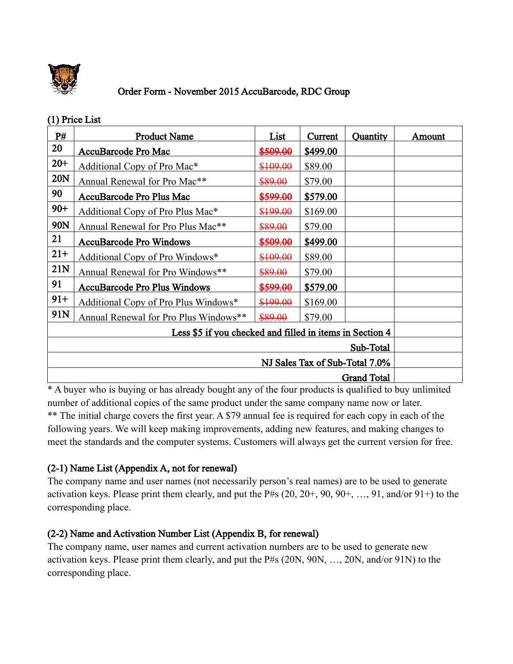

## Order Form - November 2015 AccuBarcode, RDC Group

### (1) Price List

| P#                                                       | <b>Product Name</b>                           | List     | Current  | Quantity | Amount |
|----------------------------------------------------------|-----------------------------------------------|----------|----------|----------|--------|
| 20                                                       | AccuBarcode Pro Mac                           | \$509.00 | \$499.00 |          |        |
| $20 +$                                                   | Additional Copy of Pro Mac*                   | \$109.00 | \$89.00  |          |        |
| 20N                                                      | Annual Renewal for Pro Mac**                  | \$89.00  | \$79.00  |          |        |
| 90                                                       | AccuBarcode Pro Plus Mac                      | \$599.00 | \$579.00 |          |        |
| $90+$                                                    | Additional Copy of Pro Plus Mac*              | \$199.00 | \$169.00 |          |        |
| 90N                                                      | Annual Renewal for Pro Plus Mac <sup>**</sup> | \$89.00  | \$79.00  |          |        |
| 21                                                       | <b>AccuBarcode Pro Windows</b>                | \$509.00 | \$499.00 |          |        |
| $21+$                                                    | Additional Copy of Pro Windows*               | \$109.00 | \$89.00  |          |        |
| 21N                                                      | Annual Renewal for Pro Windows**              | \$89.00  | \$79.00  |          |        |
| 91                                                       | <b>AccuBarcode Pro Plus Windows</b>           | \$599.00 | \$579.00 |          |        |
| $91+$                                                    | Additional Copy of Pro Plus Windows*          | \$199.00 | \$169.00 |          |        |
| 91N                                                      | Annual Renewal for Pro Plus Windows**         | \$89.00  | \$79.00  |          |        |
| Less \$5 if you checked and filled in items in Section 4 |                                               |          |          |          |        |
| Sub-Total                                                |                                               |          |          |          |        |
| NJ Sales Tax of Sub-Total 7.0%                           |                                               |          |          |          |        |
| <b>Grand Total</b>                                       |                                               |          |          |          |        |

\* A buyer who is buying or has already bought any of the four products is qualified to buy unlimited number of additional copies of the same product under the same company name now or later. \*\* The initial charge covers the first year. A \$79 annual fee is required for each copy in each of the following years. We will keep making improvements, adding new features, and making changes to meet the standards and the computer systems. Customers will always get the current version for free.

## (2-1) Name List (Appendix A, not for renewal)

The company name and user names (not necessarily person's real names) are to be used to generate activation keys. Please print them clearly, and put the P#s  $(20, 20+, 90, 90+, \ldots, 91, \text{and/or } 91+)$  to the corresponding place.

## (2-2) Name and Activation Number List (Appendix B, for renewal)

The company name, user names and current activation numbers are to be used to generate new activation keys. Please print them clearly, and put the P#s (20N, 90N, …, 20N, and/or 91N) to the corresponding place.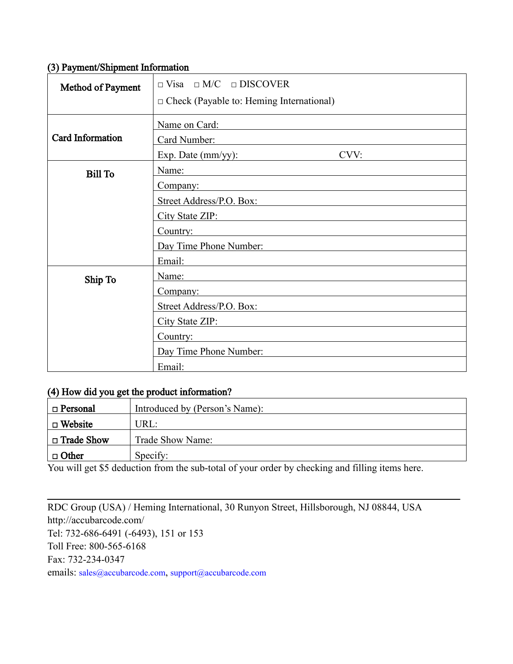#### (3) Payment/Shipment Information

| Method of Payment | $\Box$ Visa $\Box$ M/C $\Box$ DISCOVER<br>$\Box$ Check (Payable to: Heming International)                                                |  |
|-------------------|------------------------------------------------------------------------------------------------------------------------------------------|--|
| Card Information  | Name on Card:<br>Card Number:<br>CVV:<br>Exp. Date $(mm/yy)$ :                                                                           |  |
| <b>Bill To</b>    | Name:<br><u> 1980 - Jan Samuel Barbara, margaret e populari e populari e populari e populari e populari e populari e pop</u><br>Company: |  |
|                   | Street Address/P.O. Box:<br>City State ZIP: National City State ZIP:<br>Country:                                                         |  |
|                   | Day Time Phone Number:<br>Email:                                                                                                         |  |
| Ship To           | Name:<br>Company:<br>Street Address/P.O. Box:                                                                                            |  |
|                   | City State ZIP:<br>Country:<br>the control of the control of the control of the control of the control of the control of                 |  |
|                   | Day Time Phone Number:<br>Email:                                                                                                         |  |

## (4) How did you get the product information?

| $\Box$ Personal   | Introduced by (Person's Name): |
|-------------------|--------------------------------|
| $\Box$ Website    | URL:                           |
| $\Box$ Trade Show | Trade Show Name:               |
| $\Box$ Other      | Specify:                       |

 $\mathcal{L}_\mathcal{L} = \mathcal{L}_\mathcal{L} = \mathcal{L}_\mathcal{L} = \mathcal{L}_\mathcal{L} = \mathcal{L}_\mathcal{L} = \mathcal{L}_\mathcal{L} = \mathcal{L}_\mathcal{L} = \mathcal{L}_\mathcal{L} = \mathcal{L}_\mathcal{L} = \mathcal{L}_\mathcal{L} = \mathcal{L}_\mathcal{L} = \mathcal{L}_\mathcal{L} = \mathcal{L}_\mathcal{L} = \mathcal{L}_\mathcal{L} = \mathcal{L}_\mathcal{L} = \mathcal{L}_\mathcal{L} = \mathcal{L}_\mathcal{L}$ 

You will get \$5 deduction from the sub-total of your order by checking and filling items here.

RDC Group (USA) / Heming International, 30 Runyon Street, Hillsborough, NJ 08844, USA http://accubarcode.com/ Tel: 732-686-6491 (-6493), 151 or 153 Toll Free: 800-565-6168 Fax: 732-234-0347 emails: [sales@accubarcode.com](mailto:sales@accubarcode.com), [support@accubarcode.com](mailto:support@accubarcode.com)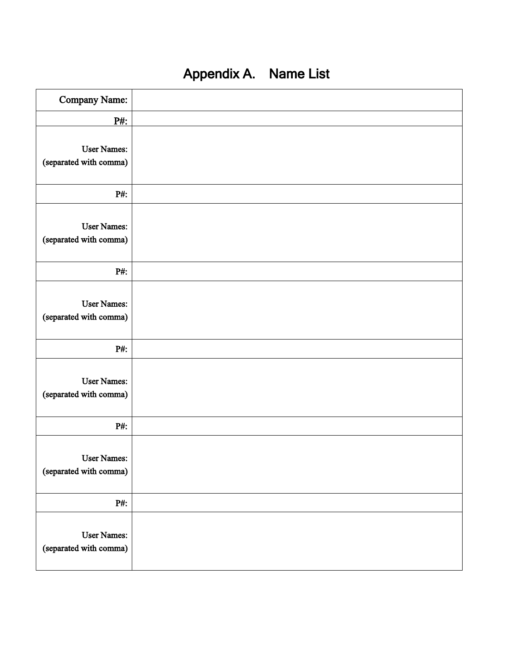| Company Name:                                |  |
|----------------------------------------------|--|
| P#:                                          |  |
| <b>User Names:</b><br>(separated with comma) |  |
| P#:                                          |  |
| <b>User Names:</b><br>(separated with comma) |  |
| P#:                                          |  |
| <b>User Names:</b><br>(separated with comma) |  |
| $P#$ :                                       |  |
| <b>User Names:</b><br>(separated with comma) |  |
| P#:                                          |  |
| <b>User Names:</b><br>(separated with comma) |  |
| $P#$ :                                       |  |
| <b>User Names:</b><br>(separated with comma) |  |

# Appendix A. Name List